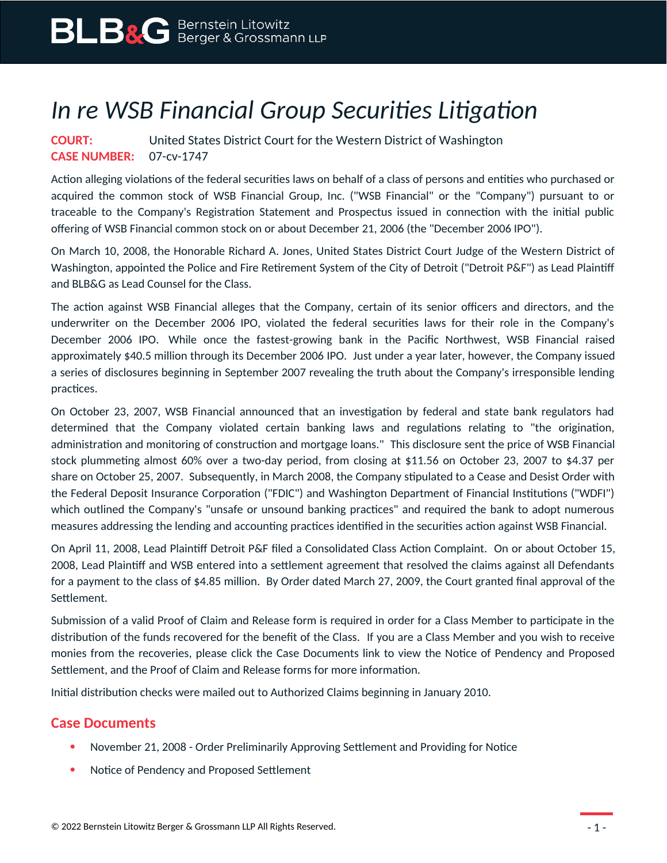## *In re WSB Financial Group Securities Litigation*

## **COURT:** United States District Court for the Western District of Washington **CASE NUMBER:** 07-cv-1747

Action alleging violations of the federal securities laws on behalf of a class of persons and entities who purchased or acquired the common stock of WSB Financial Group, Inc. ("WSB Financial" or the "Company") pursuant to or traceable to the Company's Registration Statement and Prospectus issued in connection with the initial public offering of WSB Financial common stock on or about December 21, 2006 (the "December 2006 IPO").

On March 10, 2008, the Honorable Richard A. Jones, United States District Court Judge of the Western District of Washington, appointed the Police and Fire Retirement System of the City of Detroit ("Detroit P&F") as Lead Plaintiff and BLB&G as Lead Counsel for the Class.

The action against WSB Financial alleges that the Company, certain of its senior officers and directors, and the underwriter on the December 2006 IPO, violated the federal securities laws for their role in the Company's December 2006 IPO. While once the fastest-growing bank in the Pacific Northwest, WSB Financial raised approximately \$40.5 million through its December 2006 IPO. Just under a year later, however, the Company issued a series of disclosures beginning in September 2007 revealing the truth about the Company's irresponsible lending practices.

On October 23, 2007, WSB Financial announced that an investigation by federal and state bank regulators had determined that the Company violated certain banking laws and regulations relating to "the origination, administration and monitoring of construction and mortgage loans." This disclosure sent the price of WSB Financial stock plummeting almost 60% over a two-day period, from closing at \$11.56 on October 23, 2007 to \$4.37 per share on October 25, 2007. Subsequently, in March 2008, the Company stipulated to a Cease and Desist Order with the Federal Deposit Insurance Corporation ("FDIC") and Washington Department of Financial Institutions ("WDFI") which outlined the Company's "unsafe or unsound banking practices" and required the bank to adopt numerous measures addressing the lending and accounting practices identified in the securities action against WSB Financial.

On April 11, 2008, Lead Plaintiff Detroit P&F filed a Consolidated Class Action Complaint. On or about October 15, 2008, Lead Plaintiff and WSB entered into a settlement agreement that resolved the claims against all Defendants for a payment to the class of \$4.85 million. By Order dated March 27, 2009, the Court granted final approval of the Settlement.

Submission of a valid Proof of Claim and Release form is required in order for a Class Member to participate in the distribution of the funds recovered for the benefit of the Class. If you are a Class Member and you wish to receive monies from the recoveries, please click the Case Documents link to view the Notice of Pendency and Proposed Settlement, and the Proof of Claim and Release forms for more information.

Initial distribution checks were mailed out to Authorized Claims beginning in January 2010.

## **Case Documents**

- November 21, 2008 Order Preliminarily Approving Settlement and Providing for Notice
- Notice of Pendency and Proposed Settlement